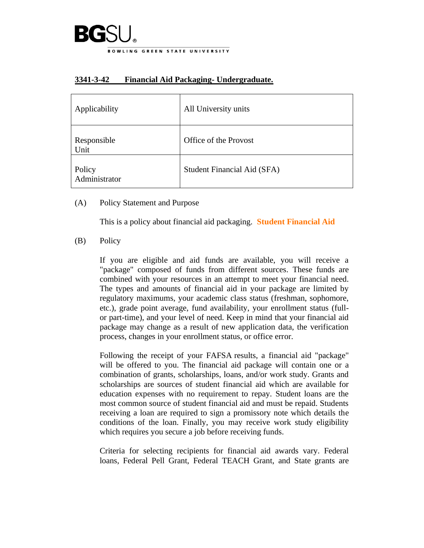

| Applicability           | All University units        |
|-------------------------|-----------------------------|
| Responsible<br>Unit     | Office of the Provost       |
| Policy<br>Administrator | Student Financial Aid (SFA) |

## **3341-3-42 Financial Aid Packaging- Undergraduate.**

(A) Policy Statement and Purpose

This is a policy about financial aid packaging. **[Student Financial Aid](https://www.bgsu.edu/financial-aid.html)**

(B) Policy

If you are eligible and aid funds are available, you will receive a "package" composed of funds from different sources. These funds are combined with your resources in an attempt to meet your financial need. The types and amounts of financial aid in your package are limited by regulatory maximums, your academic class status (freshman, sophomore, etc.), grade point average, fund availability, your enrollment status (fullor part-time), and your level of need. Keep in mind that your financial aid package may change as a result of new application data, the verification process, changes in your enrollment status, or office error.

Following the receipt of your FAFSA results, a financial aid "package" will be offered to you. The financial aid package will contain one or a combination of grants, scholarships, loans, and/or work study. Grants and scholarships are sources of student financial aid which are available for education expenses with no requirement to repay. Student loans are the most common source of student financial aid and must be repaid. Students receiving a loan are required to sign a promissory note which details the conditions of the loan. Finally, you may receive work study eligibility which requires you secure a job before receiving funds.

Criteria for selecting recipients for financial aid awards vary. Federal loans, Federal Pell Grant, Federal TEACH Grant, and State grants are